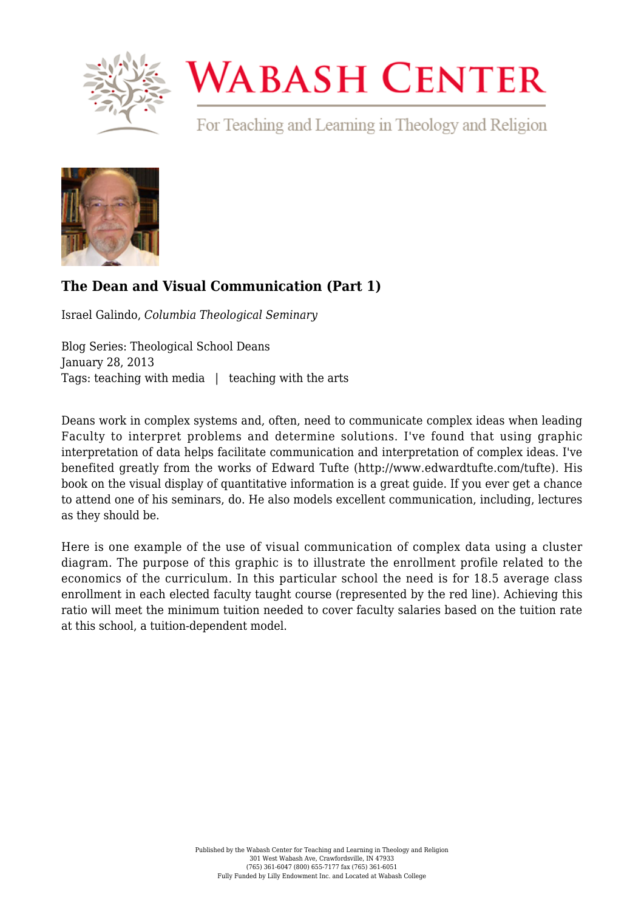

## **WABASH CENTER**

For Teaching and Learning in Theology and Religion



## **[The Dean and Visual Communication \(Part 1\)](https://www.wabashcenter.wabash.edu/2013/01/the-dean-and-visual-communication-part-1/)**

Israel Galindo, *Columbia Theological Seminary*

Blog Series: Theological School Deans January 28, 2013 Tags: teaching with media | teaching with the arts

Deans work in complex systems and, often, need to communicate complex ideas when leading Faculty to interpret problems and determine solutions. I've found that using graphic interpretation of data helps facilitate communication and interpretation of complex ideas. I've benefited greatly from the works of Edward Tufte (http://www.edwardtufte.com/tufte). His book on the visual display of quantitative information is a great guide. If you ever get a chance to attend one of his seminars, do. He also models excellent communication, including, lectures as they should be.

Here is one example of the use of visual communication of complex data using a cluster diagram. The purpose of this graphic is to illustrate the enrollment profile related to the economics of the curriculum. In this particular school the need is for 18.5 average class enrollment in each elected faculty taught course (represented by the red line). Achieving this ratio will meet the minimum tuition needed to cover faculty salaries based on the tuition rate at this school, a tuition-dependent model.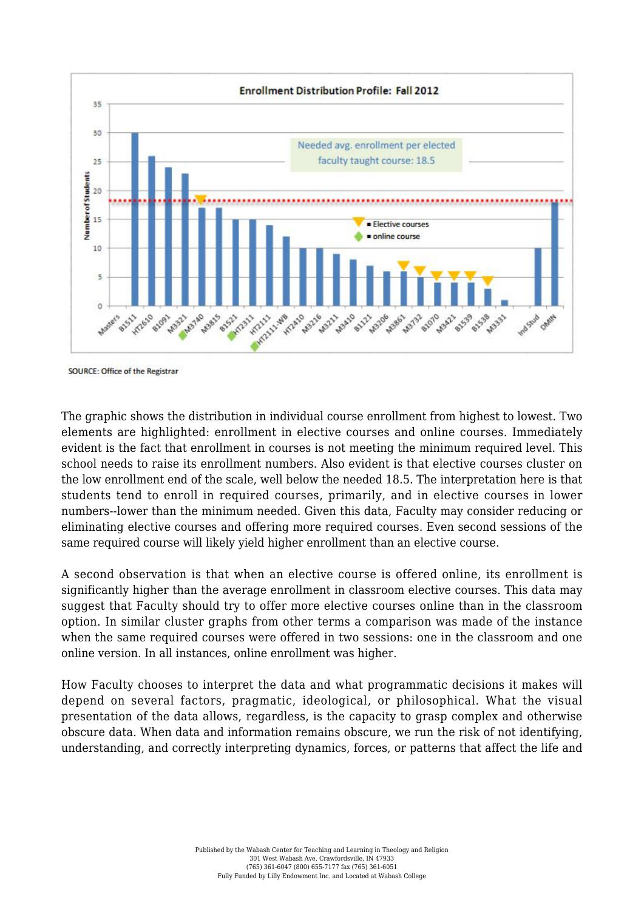

SOURCE: Office of the Registrar

The graphic shows the distribution in individual course enrollment from highest to lowest. Two elements are highlighted: enrollment in elective courses and online courses. Immediately evident is the fact that enrollment in courses is not meeting the minimum required level. This school needs to raise its enrollment numbers. Also evident is that elective courses cluster on the low enrollment end of the scale, well below the needed 18.5. The interpretation here is that students tend to enroll in required courses, primarily, and in elective courses in lower numbers--lower than the minimum needed. Given this data, Faculty may consider reducing or eliminating elective courses and offering more required courses. Even second sessions of the same required course will likely yield higher enrollment than an elective course.

A second observation is that when an elective course is offered online, its enrollment is significantly higher than the average enrollment in classroom elective courses. This data may suggest that Faculty should try to offer more elective courses online than in the classroom option. In similar cluster graphs from other terms a comparison was made of the instance when the same required courses were offered in two sessions: one in the classroom and one online version. In all instances, online enrollment was higher.

How Faculty chooses to interpret the data and what programmatic decisions it makes will depend on several factors, pragmatic, ideological, or philosophical. What the visual presentation of the data allows, regardless, is the capacity to grasp complex and otherwise obscure data. When data and information remains obscure, we run the risk of not identifying, understanding, and correctly interpreting dynamics, forces, or patterns that affect the life and